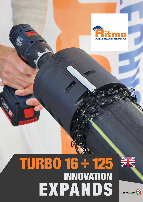

# **TURBO 16 ÷ 125 INNOVATION EXPANDS**



 $www.ritmo$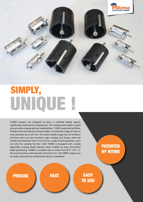

## **UNIQUE ! SIMPLY,**

TURBO scrapers are designed to work in confined jobsite spaces, significantly reducing the scraping time. The rotating tool enables a quick and accurate scraping without imperfections. TUBO is patented by Ritmo. Thanks to the introduction of new models, the diameter range of Turbo in now extended up to 125 mm. The metal models range from 16 to 63mm and they carry our two functions: pipe scraping and facing, while the models with diameter from 75 to 125 mm, made of technopolymer, carry out only the scraping function. Each TURBO is equipped with a easily adjustable scraping depth selector, which enables an easy and precise blade positioning. TURBO is available also in inches from  $\emptyset$  %" CTS ÷ 2" IPS and JIS versions with diameter 20 and 25 mm. All TURBO scrapers can be easily used with any professional electric screwdriver.

### **PATENTED BY RITMO**

**PRECISE FAST EASY** 

**TO USE**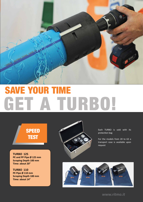

# **SAVE YOUR GET A TURBO!**

### **SPEED TEST**

**TURBO 125 PE and PP Pipe Ø 125 mm Scraping Depth 100 mm Time: about 20"**

**TURBO 110 PE Pipe Ø 110 mm Scraping Depth 100 mm Time: about 14"**



Each TURBO is sold with its protection bag

For the models from 20 to 63 a transport case is available upon request



*www.ritmo.it*